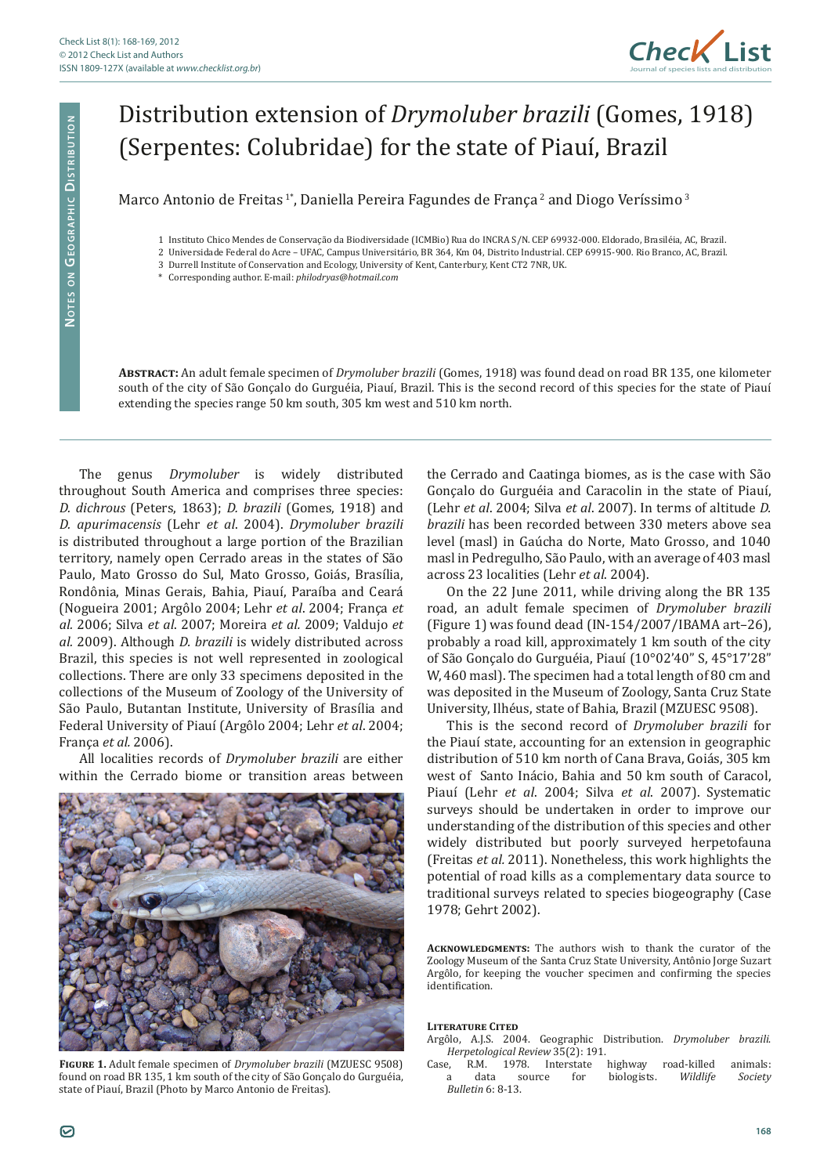

## Distribution extension of *Drymoluber brazili* (Gomes, 1918) (Serpentes: Colubridae) for the state of Piauí, Brazil

Marco Antonio de Freitas<sup>1\*</sup>, Daniella Pereira Fagundes de França<sup>2</sup> and Diogo Veríssimo<sup>3</sup>

- 1 Instituto Chico Mendes de Conservação da Biodiversidade (ICMBio) Rua do INCRA S/N. CEP 69932-000. Eldorado, Brasiléia, AC, Brazil.
- 2 Universidade Federal do Acre UFAC, Campus Universitário, BR 364, Km 04, Distrito Industrial. CEP 69915-900. Rio Branco, AC, Brazil.
- 3 Durrell Institute of Conservation and Ecology, University of Kent, Canterbury, Kent CT2 7NR, UK.
- \* Corresponding author. E-mail: *philodryas@hotmail.com*

**Abstract:** An adult female specimen of *Drymoluber brazili* (Gomes, 1918) was found dead on road BR 135, one kilometer south of the city of São Gonçalo do Gurguéia, Piauí, Brazil. This is the second record of this species for the state of Piauí extending the species range 50 km south, 305 km west and 510 km north.

The genus *Drymoluber* is widely distributed throughout South America and comprises three species: *D. dichrous* (Peters, 1863); *D. brazili* (Gomes, 1918) and *D. apurimacensis* (Lehr *et al*. 2004). *Drymoluber brazili* is distributed throughout a large portion of the Brazilian territory, namely open Cerrado areas in the states of São Paulo, Mato Grosso do Sul, Mato Grosso, Goiás, Brasília, Rondônia, Minas Gerais, Bahia, Piauí, Paraíba and Ceará (Nogueira 2001; Argôlo 2004; Lehr *et al*. 2004; França *et al.* 2006; Silva *et al*. 2007; Moreira *et al.* 2009; Valdujo *et al.* 2009). Although *D. brazili* is widely distributed across Brazil, this species is not well represented in zoological collections. There are only 33 specimens deposited in the collections of the Museum of Zoology of the University of São Paulo, Butantan Institute, University of Brasília and Federal University of Piauí (Argôlo 2004; Lehr *et al*. 2004; França *et al.* 2006).

All localities records of *Drymoluber brazili* are either within the Cerrado biome or transition areas between



**Figure 1.** Adult female specimen of *Drymoluber brazili* (MZUESC 9508) found on road BR 135, 1 km south of the city of São Gonçalo do Gurguéia, state of Piauí, Brazil (Photo by Marco Antonio de Freitas).

the Cerrado and Caatinga biomes, as is the case with São Gonçalo do Gurguéia and Caracolin in the state of Piauí, (Lehr *et al*. 2004; Silva *et al*. 2007). In terms of altitude *D. brazili* has been recorded between 330 meters above sea level (masl) in Gaúcha do Norte, Mato Grosso, and 1040 masl in Pedregulho, São Paulo, with an average of 403 masl across 23 localities (Lehr *et al*. 2004).

On the 22 June 2011, while driving along the BR 135 road, an adult female specimen of *Drymoluber brazili* (Figure 1) was found dead (IN-154/2007/IBAMA art–26), probably a road kill, approximately 1 km south of the city of São Gonçalo do Gurguéia, Piauí (10°02'40" S, 45°17'28" W, 460 masl). The specimen had a total length of 80 cm and was deposited in the Museum of Zoology, Santa Cruz State University, Ilhéus, state of Bahia, Brazil (MZUESC 9508).

This is the second record of *Drymoluber brazili* for the Piauí state, accounting for an extension in geographic distribution of 510 km north of Cana Brava, Goiás, 305 km west of Santo Inácio, Bahia and 50 km south of Caracol, Piauí (Lehr *et al*. 2004; Silva *et al*. 2007). Systematic surveys should be undertaken in order to improve our understanding of the distribution of this species and other widely distributed but poorly surveyed herpetofauna (Freitas *et al.* 2011). Nonetheless, this work highlights the potential of road kills as a complementary data source to traditional surveys related to species biogeography (Case 1978; Gehrt 2002).

**Acknowledgments:** The authors wish to thank the curator of the Zoology Museum of the Santa Cruz State University, Antônio Jorge Suzart Argôlo, for keeping the voucher specimen and confirming the species identification.

**Literature Cited**

Argôlo, A.J.S. 2004. Geographic Distribution. *Drymoluber brazili*. *Herpetological Review* 35(2): 191.

L.M. 1978. Interstate highway road-killed animals:<br>data source for biologists. Wildlife Society a data source for biologists. *Bulletin* 6: 8-13.